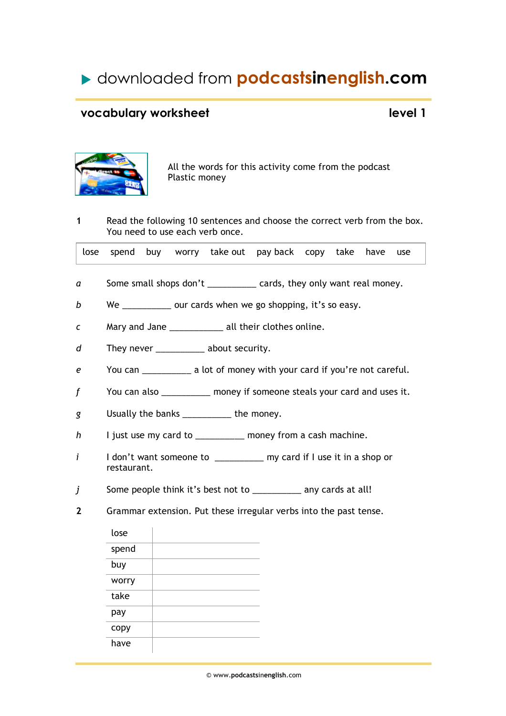# downloaded from **podcastsinenglish.com**

## **vocabulary worksheet level 1**



All the words for this activity come from the podcast Plastic money

**1** Read the following 10 sentences and choose the correct verb from the box. You need to use each verb once.

|  |  |  |  |  | lose spend buy worry take out pay-back copy take have use |  |  |  |  |  |
|--|--|--|--|--|-----------------------------------------------------------|--|--|--|--|--|
|--|--|--|--|--|-----------------------------------------------------------|--|--|--|--|--|

- *a* Some small shops don't cards, they only want real money.
- *b* We *D* our cards when we go shopping, it's so easy.
- *c* Mary and Jane *\_\_\_\_\_\_\_\_\_\_\_* all their clothes online.
- *d* They never *\_\_\_\_\_\_\_\_\_\_* about security.
- *e* You can *\_\_\_\_\_\_\_\_\_\_* a lot of money with your card if you're not careful.
- *f* You can also *\_\_\_\_\_\_\_\_\_\_* money if someone steals your card and uses it.
- *g* Usually the banks *\_\_\_\_\_\_\_\_\_\_* the money.
- *h* I just use my card to *\_\_\_\_\_\_\_\_\_\_* money from a cash machine.
- *i* I don't want someone to \_\_\_\_\_\_\_\_\_\_ my card if I use it in a shop or restaurant.
- *j* Some people think it's best not to \_\_\_\_\_\_\_\_\_\_ any cards at all!
- **2** Grammar extension. Put these irregular verbs into the past tense.

| lose  |  |
|-------|--|
| spend |  |
| buy   |  |
| worry |  |
| take  |  |
| pay   |  |
| copy  |  |
| have  |  |